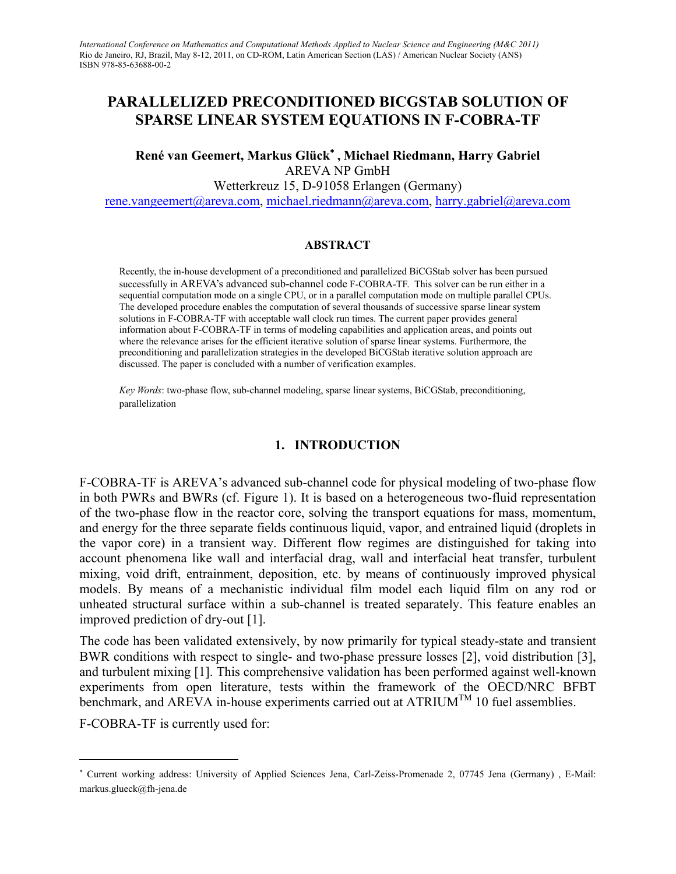# **PARALLELIZED PRECONDITIONED BICGSTAB SOLUTION OF SPARSE LINEAR SYSTEM EQUATIONS IN F-COBRA-TF**

**René van Geemert, Markus Glück**[∗](#page-0-0)  **, Michael Riedmann, Harry Gabriel**  AREVA NP GmbH Wetterkreuz 15, D-91058 Erlangen (Germany) [rene.vangeemert@areva.com,](mailto:rene.vangeemert@areva.com) [michael.riedmann@areva.com,](mailto:michael.riedmann@areva.com) [harry.gabriel@areva.com](mailto:harry.gabriel@areva.com) 

#### **ABSTRACT**

Recently, the in-house development of a preconditioned and parallelized BiCGStab solver has been pursued successfully in AREVA's advanced sub-channel code F-COBRA-TF. This solver can be run either in a sequential computation mode on a single CPU, or in a parallel computation mode on multiple parallel CPUs. The developed procedure enables the computation of several thousands of successive sparse linear system solutions in F-COBRA-TF with acceptable wall clock run times. The current paper provides general information about F-COBRA-TF in terms of modeling capabilities and application areas, and points out where the relevance arises for the efficient iterative solution of sparse linear systems. Furthermore, the preconditioning and parallelization strategies in the developed BiCGStab iterative solution approach are discussed. The paper is concluded with a number of verification examples.

*Key Words*: two-phase flow, sub-channel modeling, sparse linear systems, BiCGStab, preconditioning, parallelization

#### **1. INTRODUCTION**

F-COBRA-TF is AREVA's advanced sub-channel code for physical modeling of two-phase flow in both PWRs and BWRs (cf. Figure 1). It is based on a heterogeneous two-fluid representation of the two-phase flow in the reactor core, solving the transport equations for mass, momentum, and energy for the three separate fields continuous liquid, vapor, and entrained liquid (droplets in the vapor core) in a transient way. Different flow regimes are distinguished for taking into account phenomena like wall and interfacial drag, wall and interfacial heat transfer, turbulent mixing, void drift, entrainment, deposition, etc. by means of continuously improved physical models. By means of a mechanistic individual film model each liquid film on any rod or unheated structural surface within a sub-channel is treated separately. This feature enables an improved prediction of dry-out [1].

The code has been validated extensively, by now primarily for typical steady-state and transient BWR conditions with respect to single- and two-phase pressure losses [2], void distribution [3], and turbulent mixing [1]. This comprehensive validation has been performed against well-known experiments from open literature, tests within the framework of the OECD/NRC BFBT benchmark, and AREVA in-house experiments carried out at  $\text{ATRIUM}^{\text{TM}}$  10 fuel assemblies.

F-COBRA-TF is currently used for:

 $\overline{a}$ 

<span id="page-0-0"></span><sup>∗</sup> Current working address: University of Applied Sciences Jena, Carl-Zeiss-Promenade 2, 07745 Jena (Germany) , E-Mail: markus.glueck@fh-jena.de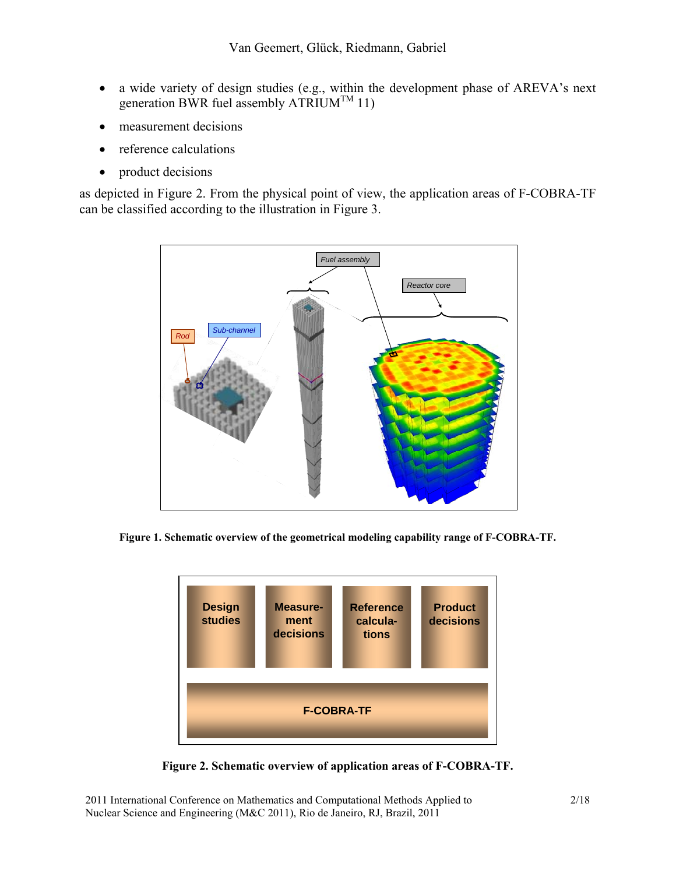- a wide variety of design studies (e.g., within the development phase of AREVA's next generation BWR fuel assembly  $\widehat{\text{ATRIUM}}^{\text{TM}}$  11)
- measurement decisions
- reference calculations
- product decisions

as depicted in [Figure 2](#page-1-0). From the physical point of view, the application areas of F-COBRA-TF can be classified according to the illustration in [Figure 3](#page-2-0).



**Figure 1. Schematic overview of the geometrical modeling capability range of F-COBRA-TF.** 



<span id="page-1-0"></span>**Figure 2. Schematic overview of application areas of F-COBRA-TF.** 

2011 International Conference on Mathematics and Computational Methods Applied to 2/18 Nuclear Science and Engineering (M&C 2011), Rio de Janeiro, RJ, Brazil, 2011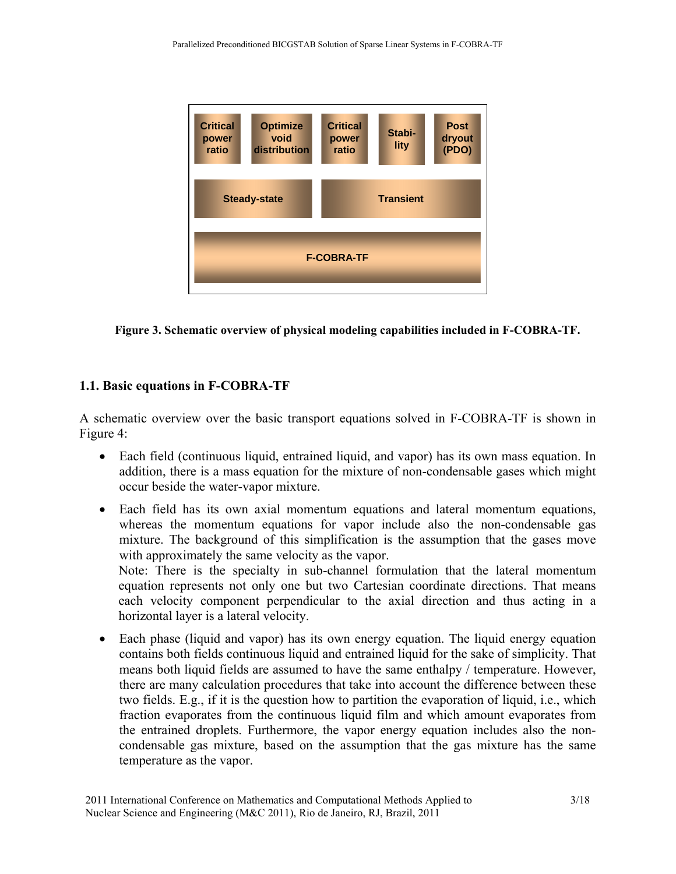

<span id="page-2-0"></span>**Figure 3. Schematic overview of physical modeling capabilities included in F-COBRA-TF.** 

## **1.1. Basic equations in F-COBRA-TF**

horizontal layer is a lateral velocity.

A schematic overview over the basic transport equations solved in F-COBRA-TF is shown in [Figure 4](#page-3-0):

- Each field (continuous liquid, entrained liquid, and vapor) has its own mass equation. In addition, there is a mass equation for the mixture of non-condensable gases which might occur beside the water-vapor mixture.
- Each field has its own axial momentum equations and lateral momentum equations, whereas the momentum equations for vapor include also the non-condensable gas mixture. The background of this simplification is the assumption that the gases move with approximately the same velocity as the vapor. Note: There is the specialty in sub-channel formulation that the lateral momentum equation represents not only one but two Cartesian coordinate directions. That means each velocity component perpendicular to the axial direction and thus acting in a
- Each phase (liquid and vapor) has its own energy equation. The liquid energy equation contains both fields continuous liquid and entrained liquid for the sake of simplicity. That means both liquid fields are assumed to have the same enthalpy / temperature. However, there are many calculation procedures that take into account the difference between these two fields. E.g., if it is the question how to partition the evaporation of liquid, i.e., which fraction evaporates from the continuous liquid film and which amount evaporates from the entrained droplets. Furthermore, the vapor energy equation includes also the noncondensable gas mixture, based on the assumption that the gas mixture has the same temperature as the vapor.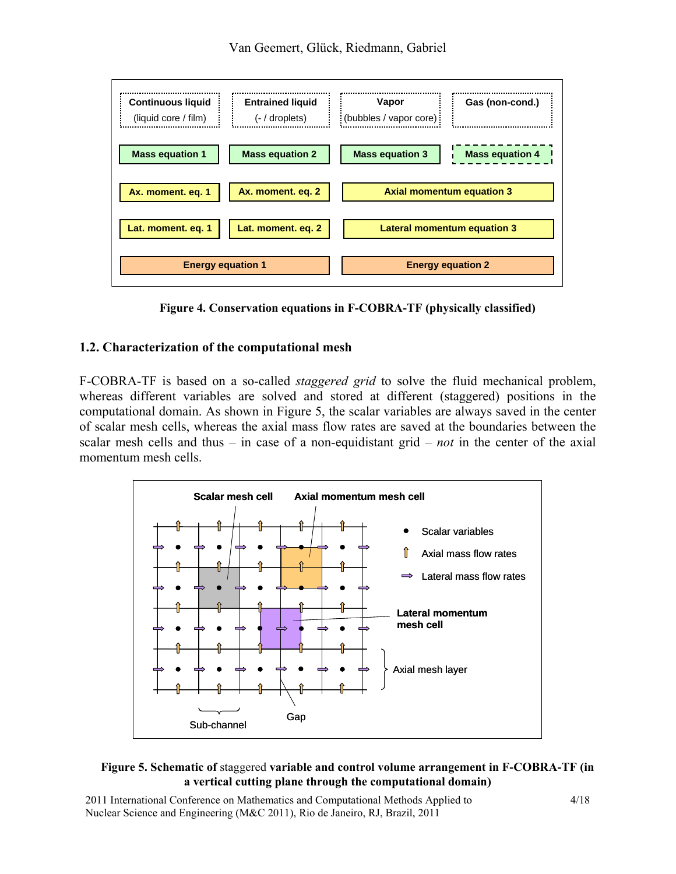

<span id="page-3-0"></span>**Figure 4. Conservation equations in F-COBRA-TF (physically classified)** 

## **1.2. Characterization of the computational mesh**

F-COBRA-TF is based on a so-called *staggered grid* to solve the fluid mechanical problem, whereas different variables are solved and stored at different (staggered) positions in the computational domain. As shown in [Figure 5](#page-3-1), the scalar variables are always saved in the center of scalar mesh cells, whereas the axial mass flow rates are saved at the boundaries between the scalar mesh cells and thus – in case of a non-equidistant grid – *not* in the center of the axial momentum mesh cells.



#### <span id="page-3-1"></span>**Figure 5. Schematic of** staggered **variable and control volume arrangement in F-COBRA-TF (in a vertical cutting plane through the computational domain)**

2011 International Conference on Mathematics and Computational Methods Applied to 4/18 Nuclear Science and Engineering (M&C 2011), Rio de Janeiro, RJ, Brazil, 2011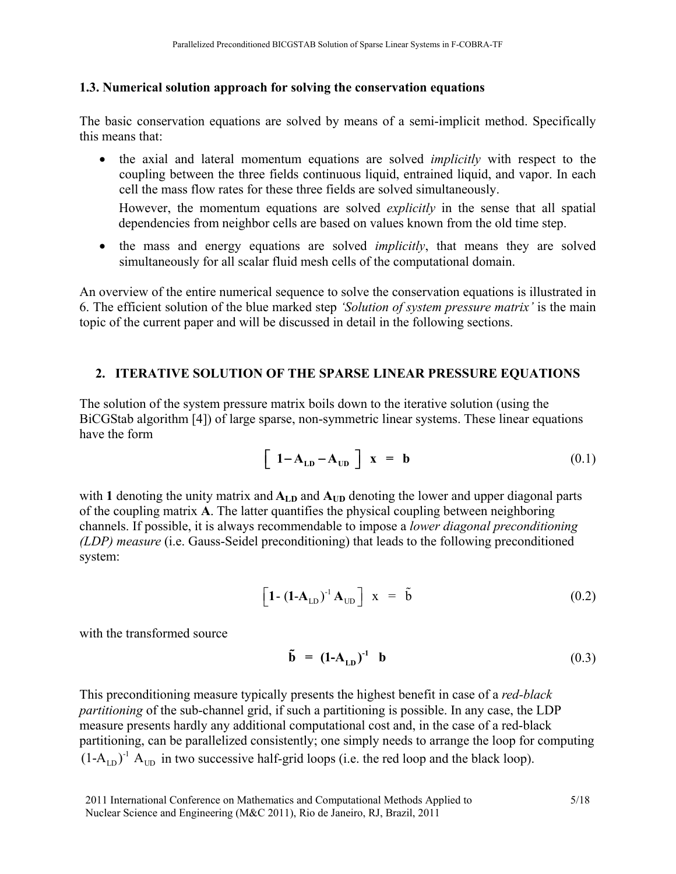#### **1.3. Numerical solution approach for solving the conservation equations**

The basic conservation equations are solved by means of a semi-implicit method. Specifically this means that:

• the axial and lateral momentum equations are solved *implicitly* with respect to the coupling between the three fields continuous liquid, entrained liquid, and vapor. In each cell the mass flow rates for these three fields are solved simultaneously.

However, the momentum equations are solved *explicitly* in the sense that all spatial dependencies from neighbor cells are based on values known from the old time step.

• the mass and energy equations are solved *implicitly*, that means they are solved simultaneously for all scalar fluid mesh cells of the computational domain.

An overview of the entire numerical sequence to solve the conservation equations is illustrated in 6. The efficient solution of the blue marked step *'Solution of system pressure matrix'* is the main topic of the current paper and will be discussed in detail in the following sections.

### **2. ITERATIVE SOLUTION OF THE SPARSE LINEAR PRESSURE EQUATIONS**

The solution of the system pressure matrix boils down to the iterative solution (using the BiCGStab algorithm [4]) of large sparse, non-symmetric linear systems. These linear equations have the form

$$
\left[\begin{array}{cc} \mathbf{1} - \mathbf{A}_{\text{LD}} - \mathbf{A}_{\text{UD}} \end{array}\right] \mathbf{x} = \mathbf{b} \tag{0.1}
$$

with 1 denoting the unity matrix and  $A_{LD}$  and  $A_{UD}$  denoting the lower and upper diagonal parts of the coupling matrix **A**. The latter quantifies the physical coupling between neighboring channels. If possible, it is always recommendable to impose a *lower diagonal preconditioning (LDP) measure* (i.e. Gauss-Seidel preconditioning) that leads to the following preconditioned system:

$$
\left[\mathbf{1} - (\mathbf{1} - \mathbf{A}_{\text{LD}})^{-1} \mathbf{A}_{\text{UD}}\right] \mathbf{x} = \tilde{\mathbf{b}} \tag{0.2}
$$

with the transformed source

$$
\tilde{\mathbf{b}} = (\mathbf{1} - \mathbf{A}_{\text{LD}})^{-1} \quad \mathbf{b} \tag{0.3}
$$

This preconditioning measure typically presents the highest benefit in case of a *red-black partitioning* of the sub-channel grid, if such a partitioning is possible. In any case, the LDP measure presents hardly any additional computational cost and, in the case of a red-black partitioning, can be parallelized consistently; one simply needs to arrange the loop for computing  $(1-A_{LD})^T A_{UD}$  in two successive half-grid loops (i.e. the red loop and the black loop).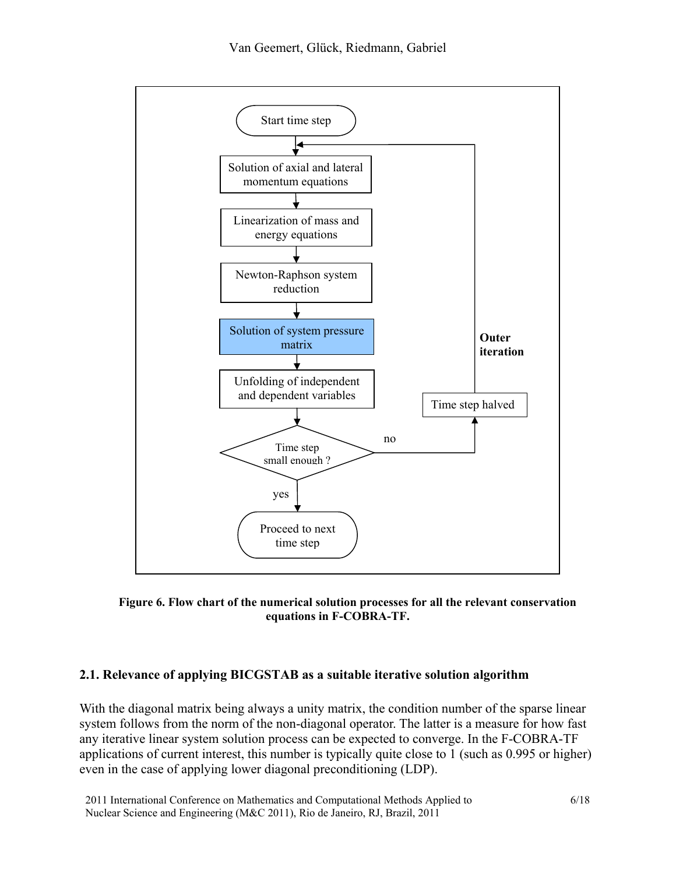

**Figure 6. Flow chart of the numerical solution processes for all the relevant conservation equations in F-COBRA-TF.** 

### **2.1. Relevance of applying BICGSTAB as a suitable iterative solution algorithm**

With the diagonal matrix being always a unity matrix, the condition number of the sparse linear system follows from the norm of the non-diagonal operator. The latter is a measure for how fast any iterative linear system solution process can be expected to converge. In the F-COBRA-TF applications of current interest, this number is typically quite close to 1 (such as 0.995 or higher) even in the case of applying lower diagonal preconditioning (LDP).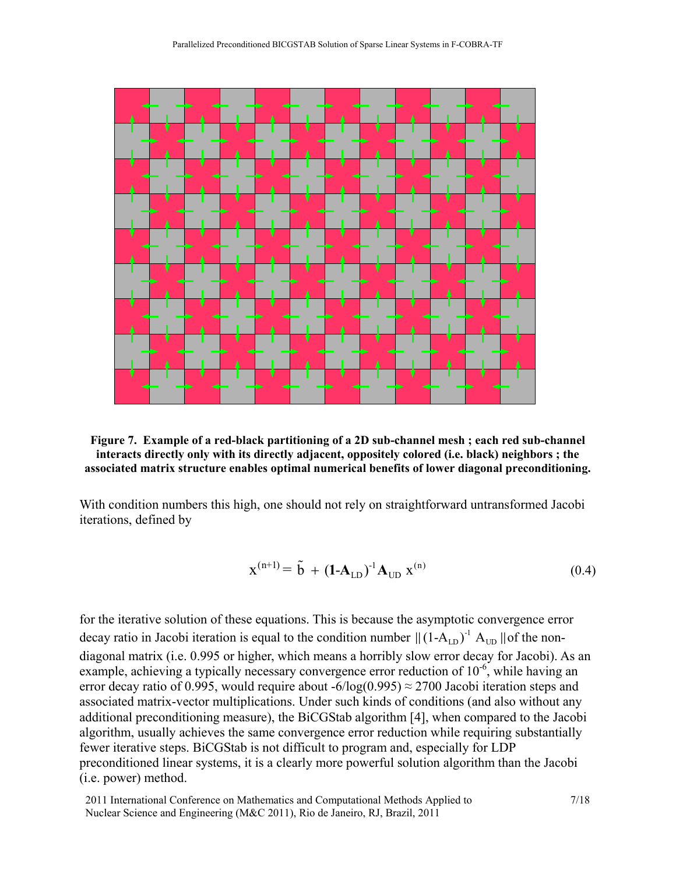



With condition numbers this high, one should not rely on straightforward untransformed Jacobi iterations, defined by

$$
x^{(n+1)} = \tilde{b} + (1 - A_{LD})^{-1} A_{UD} x^{(n)}
$$
(0.4)

for the iterative solution of these equations. This is because the asymptotic convergence error decay ratio in Jacobi iteration is equal to the condition number  $\|(1-A_{LD})^{-1}A_{UD}\|$  of the nondiagonal matrix (i.e. 0.995 or higher, which means a horribly slow error decay for Jacobi). As an example, achieving a typically necessary convergence error reduction of  $10^{-6}$ , while having an error decay ratio of 0.995, would require about -6/log(0.995)  $\approx$  2700 Jacobi iteration steps and associated matrix-vector multiplications. Under such kinds of conditions (and also without any additional preconditioning measure), the BiCGStab algorithm [4], when compared to the Jacobi algorithm, usually achieves the same convergence error reduction while requiring substantially fewer iterative steps. BiCGStab is not difficult to program and, especially for LDP preconditioned linear systems, it is a clearly more powerful solution algorithm than the Jacobi (i.e. power) method.

2011 International Conference on Mathematics and Computational Methods Applied to 7/18 Nuclear Science and Engineering (M&C 2011), Rio de Janeiro, RJ, Brazil, 2011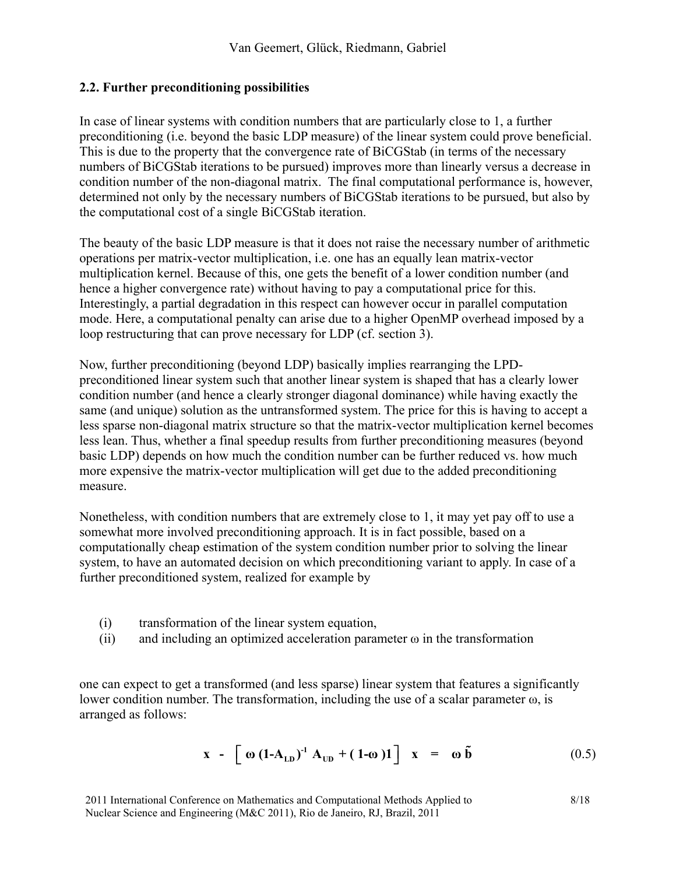#### **2.2. Further preconditioning possibilities**

In case of linear systems with condition numbers that are particularly close to 1, a further preconditioning (i.e. beyond the basic LDP measure) of the linear system could prove beneficial. This is due to the property that the convergence rate of BiCGStab (in terms of the necessary numbers of BiCGStab iterations to be pursued) improves more than linearly versus a decrease in condition number of the non-diagonal matrix. The final computational performance is, however, determined not only by the necessary numbers of BiCGStab iterations to be pursued, but also by the computational cost of a single BiCGStab iteration.

The beauty of the basic LDP measure is that it does not raise the necessary number of arithmetic operations per matrix-vector multiplication, i.e. one has an equally lean matrix-vector multiplication kernel. Because of this, one gets the benefit of a lower condition number (and hence a higher convergence rate) without having to pay a computational price for this. Interestingly, a partial degradation in this respect can however occur in parallel computation mode. Here, a computational penalty can arise due to a higher OpenMP overhead imposed by a loop restructuring that can prove necessary for LDP (cf. section 3).

Now, further preconditioning (beyond LDP) basically implies rearranging the LPDpreconditioned linear system such that another linear system is shaped that has a clearly lower condition number (and hence a clearly stronger diagonal dominance) while having exactly the same (and unique) solution as the untransformed system. The price for this is having to accept a less sparse non-diagonal matrix structure so that the matrix-vector multiplication kernel becomes less lean. Thus, whether a final speedup results from further preconditioning measures (beyond basic LDP) depends on how much the condition number can be further reduced vs. how much more expensive the matrix-vector multiplication will get due to the added preconditioning measure.

Nonetheless, with condition numbers that are extremely close to 1, it may yet pay off to use a somewhat more involved preconditioning approach. It is in fact possible, based on a computationally cheap estimation of the system condition number prior to solving the linear system, to have an automated decision on which preconditioning variant to apply. In case of a further preconditioned system, realized for example by

- (i) transformation of the linear system equation,
- (ii) and including an optimized acceleration parameter  $\omega$  in the transformation

one can expect to get a transformed (and less sparse) linear system that features a significantly lower condition number. The transformation, including the use of a scalar parameter ω, is arranged as follows:

$$
\mathbf{x} - \left[ \mathbf{\omega} \left( \mathbf{1} \mathbf{-A}_{\text{LD}} \right)^{-1} \mathbf{A}_{\text{UD}} + (\mathbf{1} \mathbf{-\omega}) \mathbf{1} \right] \mathbf{x} = \mathbf{\omega} \, \tilde{\mathbf{b}} \tag{0.5}
$$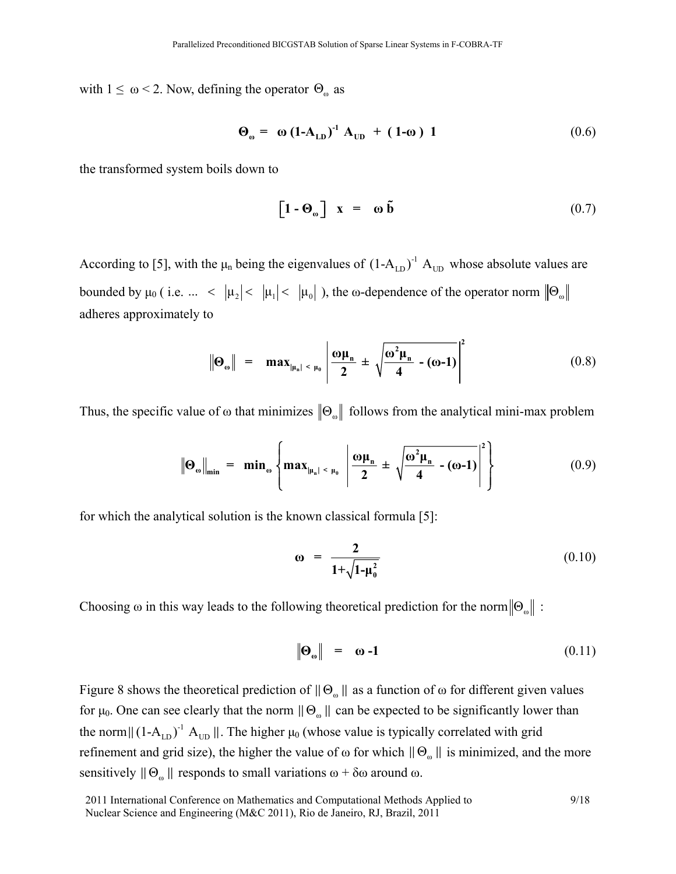with  $1 \leq \omega \leq 2$ . Now, defining the operator  $\Theta_{\omega}$  as

$$
\Theta_{\omega} = \omega (1-A_{LD})^1 A_{UD} + (1-\omega) 1 \qquad (0.6)
$$

the transformed system boils down to

$$
\left[\mathbf{1} - \mathbf{\Theta}_{\omega}\right] \mathbf{x} = \mathbf{\omega} \, \tilde{\mathbf{b}} \tag{0.7}
$$

According to [5], with the  $\mu_n$  being the eigenvalues of  $(1-A_{LD})^{-1}$   $A_{UD}$  whose absolute values are bounded by  $\mu_0$  (i.e.  $\ldots$  <  $|\mu_2|$  <  $|\mu_1|$  <  $|\mu_0|$  ), the  $\omega$ -dependence of the operator norm  $| \Theta_{\omega}$ adheres approximately to

$$
\|\Theta_{\omega}\| = \max_{\left|\mu_n\right| < \mu_0} \left| \frac{\omega \mu_n}{2} \pm \sqrt{\frac{\omega^2 \mu_n}{4} - (\omega - 1)} \right|^2 \tag{0.8}
$$

Thus, the specific value of  $\omega$  that minimizes  $\|\Theta_{\omega}\|$  follows from the analytical mini-max problem

$$
\|\Theta_{\omega}\|_{\min} = \min_{\omega} \left\{ \max_{|\mu_n| \le \mu_0} \left| \frac{\omega \mu_n}{2} \pm \sqrt{\frac{\omega^2 \mu_n}{4} - (\omega - 1)} \right|^2 \right\} \tag{0.9}
$$

for which the analytical solution is the known classical formula [5]:

$$
\omega = \frac{2}{1 + \sqrt{1 - \mu_0^2}} \tag{0.10}
$$

Choosing ω in this way leads to the following theoretical prediction for the norm  $\|\Theta_{\omega}\|$ :

$$
\|\mathbf{\Theta}_{\omega}\| = \mathbf{\omega} - \mathbf{1} \tag{0.11}
$$

Figure 8 shows the theoretical prediction of  $\|\Theta_{\omega}\|$  as a function of  $\omega$  for different given values for μ<sub>0</sub>. One can see clearly that the norm  $\|\Theta_{\omega}\|$  can be expected to be significantly lower than the norm  $\|(1-A_{LD})^T A_{UD}\|$ . The higher  $\mu_0$  (whose value is typically correlated with grid refinement and grid size), the higher the value of  $\omega$  for which  $\|\Theta_{\omega}\|$  is minimized, and the more sensitively  $\|\Theta_{\omega}\|$  responds to small variations  $\omega + \delta \omega$  around  $\omega$ .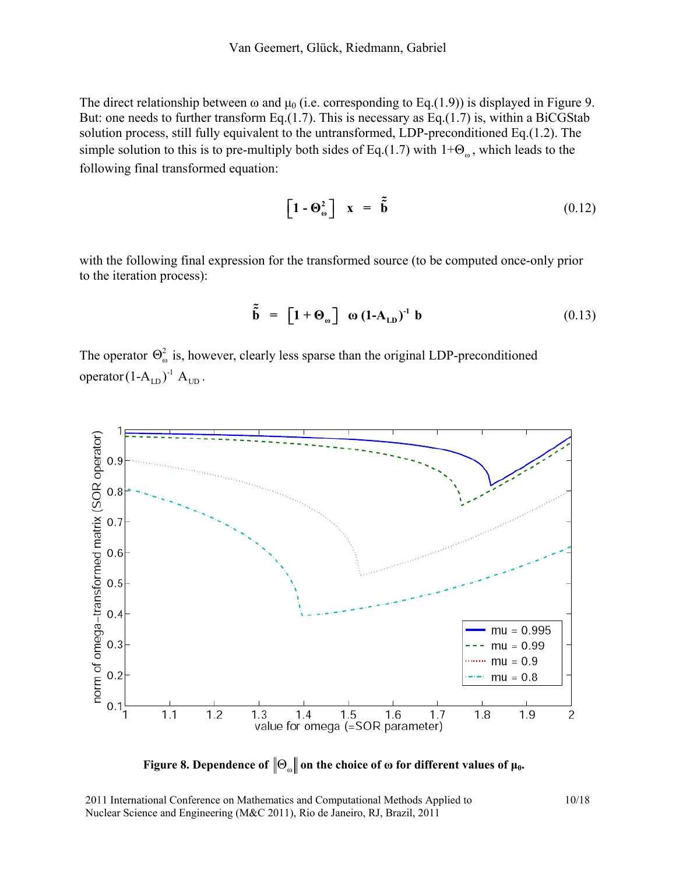The direct relationship between  $\omega$  and  $\mu_0$  (i.e. corresponding to Eq.(1.9)) is displayed in Figure 9. But: one needs to further transform Eq.(1.7). This is necessary as Eq.(1.7) is, within a BiCGStab solution process, still fully equivalent to the untransformed, LDP-preconditioned Eq.(1.2). The simple solution to this is to pre-multiply both sides of Eq.(1.7) with  $1+\Theta_{\omega}$ , which leads to the following final transformed equation:

$$
\left[\mathbf{1} - \mathbf{\Theta}_{\omega}^{2}\right] \quad \mathbf{x} = \tilde{\mathbf{b}} \tag{0.12}
$$

with the following final expression for the transformed source (to be computed once-only prior to the iteration process):

$$
\tilde{\tilde{\mathbf{b}}} = [\mathbf{1} + \mathbf{\Theta}_{\omega}] \quad \omega (\mathbf{1} - \mathbf{A}_{\text{LD}})^{-1} \mathbf{b} \tag{0.13}
$$

The operator  $\Theta_{\omega}^2$  is, however, clearly less sparse than the original LDP-preconditioned operator  $(1-A_{LD})^{-1}$   $A_{UD}$ .



 **Figure 8. Dependence of**  $\|\Theta_{\omega}\|$  **on the choice of**  $\omega$  **for different values of**  $\mu_0$ **.** 

2011 International Conference on Mathematics and Computational Methods Applied to 10/18 Nuclear Science and Engineering (M&C 2011), Rio de Janeiro, RJ, Brazil, 2011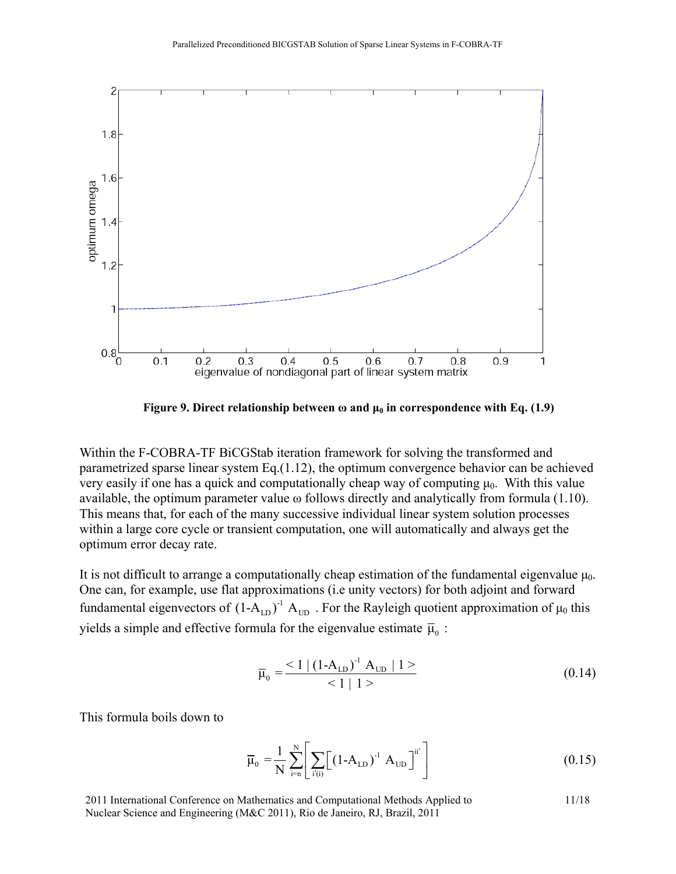

**Figure 9. Direct relationship between**  $\omega$  **and**  $\mu_0$  **in correspondence with Eq. (1.9)** 

Within the F-COBRA-TF BiCGStab iteration framework for solving the transformed and parametrized sparse linear system Eq.(1.12), the optimum convergence behavior can be achieved very easily if one has a quick and computationally cheap way of computing  $\mu_0$ . With this value available, the optimum parameter value ω follows directly and analytically from formula (1.10). This means that, for each of the many successive individual linear system solution processes within a large core cycle or transient computation, one will automatically and always get the optimum error decay rate.

It is not difficult to arrange a computationally cheap estimation of the fundamental eigenvalue  $\mu_0$ . One can, for example, use flat approximations (i.e unity vectors) for both adjoint and forward fundamental eigenvectors of  $(1-A_{LD})^{-1}A_{UD}$ . For the Rayleigh quotient approximation of  $\mu_0$  this yields a simple and effective formula for the eigenvalue estimate  $\bar{\mu}_0$  :

$$
\overline{\mu}_0 = \frac{<1 \mid (1 - A_{LD})^{-1} A_{UD} \mid 1>}{<1 \mid 1>}
$$
\n(0.14)

This formula boils down to

$$
\overline{\mu}_0 = \frac{1}{N} \sum_{i=n}^{N} \left[ \sum_{i'(i)} \left[ (1 - A_{LD})^{-1} A_{UD} \right]^{ii'} \right]
$$
(0.15)

2011 International Conference on Mathematics and Computational Methods Applied to 11/18 Nuclear Science and Engineering (M&C 2011), Rio de Janeiro, RJ, Brazil, 2011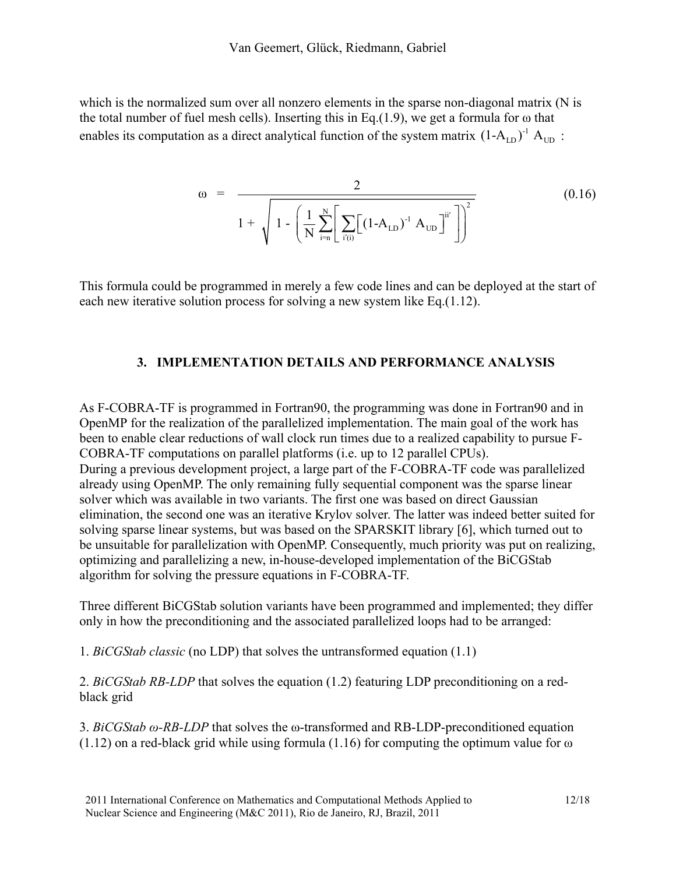which is the normalized sum over all nonzero elements in the sparse non-diagonal matrix (N is the total number of fuel mesh cells). Inserting this in Eq.(1.9), we get a formula for  $\omega$  that enables its computation as a direct analytical function of the system matrix  $(1-A_{LD})^T A_{UD}$ :

$$
\omega = \frac{2}{1 + \sqrt{1 - \left(\frac{1}{N} \sum_{i=1}^{N} \left[ \sum_{i'(i)} \left[ (1 - A_{LD})^{-1} A_{UD} \right]^{ii'} \right] \right)^2}}
$$
(0.16)

This formula could be programmed in merely a few code lines and can be deployed at the start of each new iterative solution process for solving a new system like Eq.(1.12).

### **3. IMPLEMENTATION DETAILS AND PERFORMANCE ANALYSIS**

As F-COBRA-TF is programmed in Fortran90, the programming was done in Fortran90 and in OpenMP for the realization of the parallelized implementation. The main goal of the work has been to enable clear reductions of wall clock run times due to a realized capability to pursue F-COBRA-TF computations on parallel platforms (i.e. up to 12 parallel CPUs). During a previous development project, a large part of the F-COBRA-TF code was parallelized already using OpenMP. The only remaining fully sequential component was the sparse linear solver which was available in two variants. The first one was based on direct Gaussian elimination, the second one was an iterative Krylov solver. The latter was indeed better suited for solving sparse linear systems, but was based on the SPARSKIT library [6], which turned out to be unsuitable for parallelization with OpenMP. Consequently, much priority was put on realizing, optimizing and parallelizing a new, in-house-developed implementation of the BiCGStab algorithm for solving the pressure equations in F-COBRA-TF.

Three different BiCGStab solution variants have been programmed and implemented; they differ only in how the preconditioning and the associated parallelized loops had to be arranged:

1. *BiCGStab classic* (no LDP) that solves the untransformed equation (1.1)

2. *BiCGStab RB-LDP* that solves the equation (1.2) featuring LDP preconditioning on a redblack grid

3. *BiCGStab ω-RB-LDP* that solves the ω-transformed and RB-LDP-preconditioned equation  $(1.12)$  on a red-black grid while using formula  $(1.16)$  for computing the optimum value for  $\omega$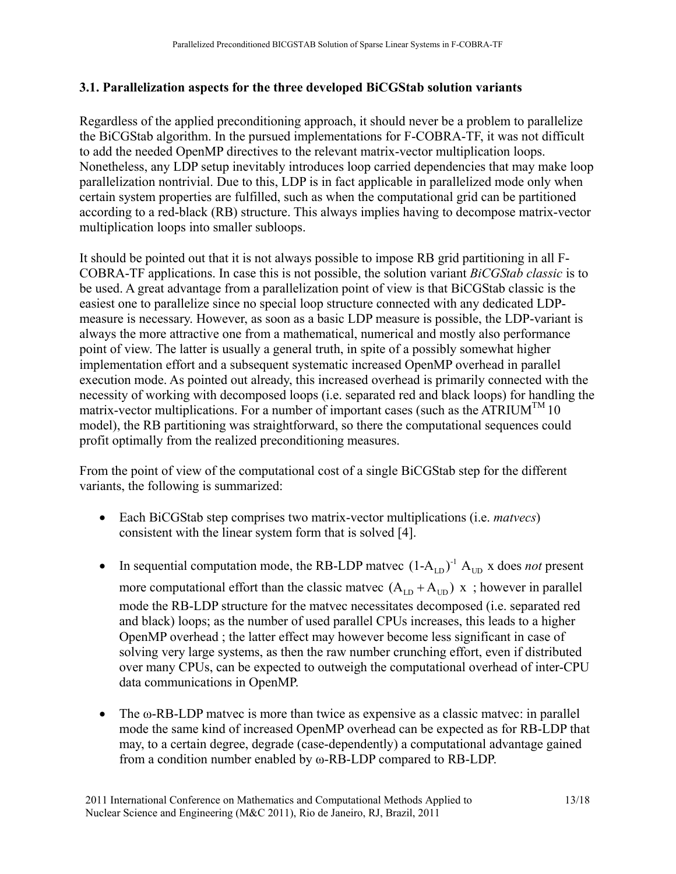## **3.1. Parallelization aspects for the three developed BiCGStab solution variants**

Regardless of the applied preconditioning approach, it should never be a problem to parallelize the BiCGStab algorithm. In the pursued implementations for F-COBRA-TF, it was not difficult to add the needed OpenMP directives to the relevant matrix-vector multiplication loops. Nonetheless, any LDP setup inevitably introduces loop carried dependencies that may make loop parallelization nontrivial. Due to this, LDP is in fact applicable in parallelized mode only when certain system properties are fulfilled, such as when the computational grid can be partitioned according to a red-black (RB) structure. This always implies having to decompose matrix-vector multiplication loops into smaller subloops.

It should be pointed out that it is not always possible to impose RB grid partitioning in all F-COBRA-TF applications. In case this is not possible, the solution variant *BiCGStab classic* is to be used. A great advantage from a parallelization point of view is that BiCGStab classic is the easiest one to parallelize since no special loop structure connected with any dedicated LDPmeasure is necessary. However, as soon as a basic LDP measure is possible, the LDP-variant is always the more attractive one from a mathematical, numerical and mostly also performance point of view. The latter is usually a general truth, in spite of a possibly somewhat higher implementation effort and a subsequent systematic increased OpenMP overhead in parallel execution mode. As pointed out already, this increased overhead is primarily connected with the necessity of working with decomposed loops (i.e. separated red and black loops) for handling the matrix-vector multiplications. For a number of important cases (such as the ATRIUM<sup>TM</sup> 10) model), the RB partitioning was straightforward, so there the computational sequences could profit optimally from the realized preconditioning measures.

From the point of view of the computational cost of a single BiCGStab step for the different variants, the following is summarized:

- Each BiCGStab step comprises two matrix-vector multiplications (i.e. *matvecs*) consistent with the linear system form that is solved [4].
- In sequential computation mode, the RB-LDP matvec  $(1-A_{LD})^{-1}$   $A_{UD}$  x does *not* present more computational effort than the classic matvec  $(A_{LD} + A_{UD}) x$ ; however in parallel mode the RB-LDP structure for the matvec necessitates decomposed (i.e. separated red and black) loops; as the number of used parallel CPUs increases, this leads to a higher OpenMP overhead ; the latter effect may however become less significant in case of solving very large systems, as then the raw number crunching effort, even if distributed over many CPUs, can be expected to outweigh the computational overhead of inter-CPU data communications in OpenMP.
- The  $\omega$ -RB-LDP matvec is more than twice as expensive as a classic matvec: in parallel mode the same kind of increased OpenMP overhead can be expected as for RB-LDP that may, to a certain degree, degrade (case-dependently) a computational advantage gained from a condition number enabled by ω-RB-LDP compared to RB-LDP.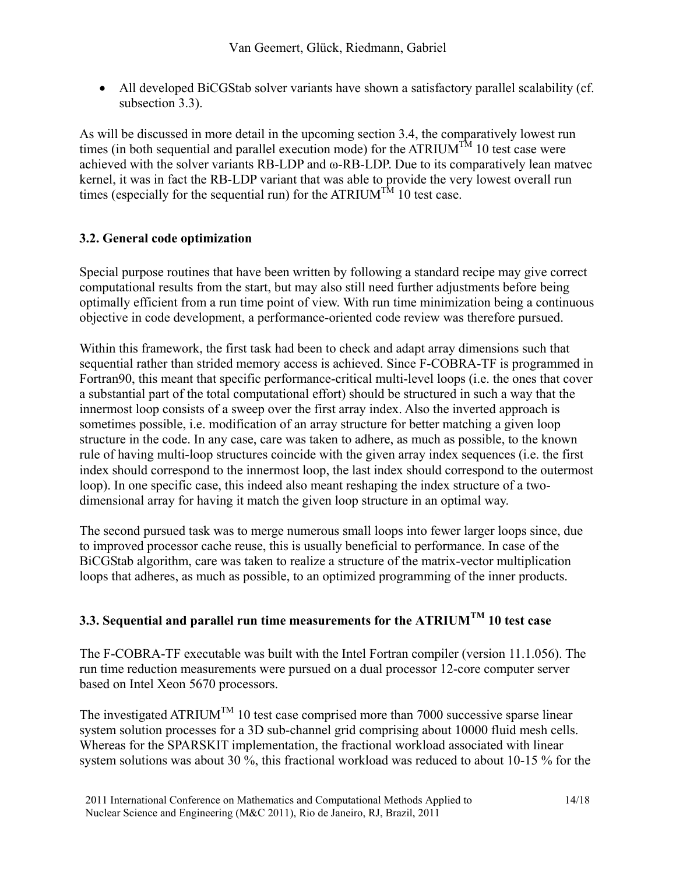• All developed BiCGStab solver variants have shown a satisfactory parallel scalability (cf. subsection 3.3).

As will be discussed in more detail in the upcoming section 3.4, the comparatively lowest run times (in both sequential and parallel execution mode) for the ATRIUM<sup>TM</sup> 10 test case were achieved with the solver variants RB-LDP and ω-RB-LDP. Due to its comparatively lean matvec kernel, it was in fact the RB-LDP variant that was able to provide the very lowest overall run times (especially for the sequential run) for the ATRIUM<sup>TM</sup> 10 test case.

## **3.2. General code optimization**

Special purpose routines that have been written by following a standard recipe may give correct computational results from the start, but may also still need further adjustments before being optimally efficient from a run time point of view. With run time minimization being a continuous objective in code development, a performance-oriented code review was therefore pursued.

Within this framework, the first task had been to check and adapt array dimensions such that sequential rather than strided memory access is achieved. Since F-COBRA-TF is programmed in Fortran90, this meant that specific performance-critical multi-level loops (i.e. the ones that cover a substantial part of the total computational effort) should be structured in such a way that the innermost loop consists of a sweep over the first array index. Also the inverted approach is sometimes possible, i.e. modification of an array structure for better matching a given loop structure in the code. In any case, care was taken to adhere, as much as possible, to the known rule of having multi-loop structures coincide with the given array index sequences (i.e. the first index should correspond to the innermost loop, the last index should correspond to the outermost loop). In one specific case, this indeed also meant reshaping the index structure of a twodimensional array for having it match the given loop structure in an optimal way.

The second pursued task was to merge numerous small loops into fewer larger loops since, due to improved processor cache reuse, this is usually beneficial to performance. In case of the BiCGStab algorithm, care was taken to realize a structure of the matrix-vector multiplication loops that adheres, as much as possible, to an optimized programming of the inner products.

## **3.3. Sequential and parallel run time measurements for the ATRIUMTM 10 test case**

The F-COBRA-TF executable was built with the Intel Fortran compiler (version 11.1.056). The run time reduction measurements were pursued on a dual processor 12-core computer server based on Intel Xeon 5670 processors.

The investigated ATRIUM<sup>TM</sup> 10 test case comprised more than 7000 successive sparse linear system solution processes for a 3D sub-channel grid comprising about 10000 fluid mesh cells. Whereas for the SPARSKIT implementation, the fractional workload associated with linear system solutions was about 30 %, this fractional workload was reduced to about 10-15 % for the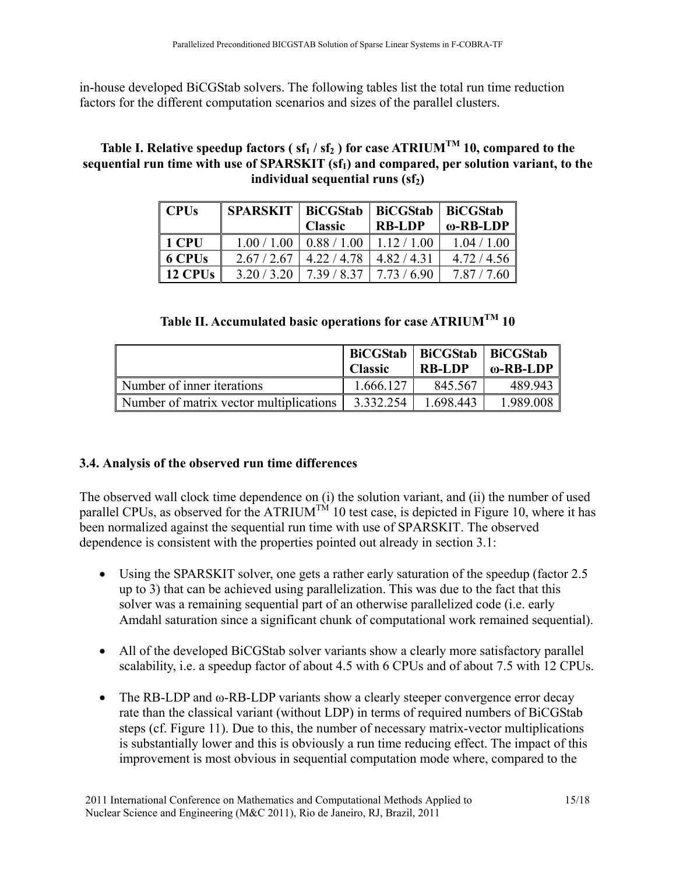in-house developed BiCGStab solvers. The following tables list the total run time reduction factors for the different computation scenarios and sizes of the parallel clusters.

## Table I. Relative speedup factors ( $sf_1 / sf_2$ ) for case ATRIUM<sup>TM</sup> 10, compared to the sequential run time with use of SPARSKIT (sf<sub>1</sub>) and compared, per solution variant, to the **individual sequential runs (sf<sub>2</sub>)**

| $\mathbf$ CPUs      | SPARSKIT   BiCGStab   BiCGStab   BiCGStab |                |               |                  |
|---------------------|-------------------------------------------|----------------|---------------|------------------|
|                     |                                           | <b>Classic</b> | <b>RB-LDP</b> | $\omega$ -RB-LDP |
| $\parallel$ 1 CPU   | 1.00 / 1.00                               | 0.88 / 1.00    | 1.12/1.00     | 1.04 / 1.00      |
| $\vert$ 6 CPUs      | 2.67/2.67                                 | 4.22/4.78      | 4.82/4.31     | 4.72 / 4.56      |
| $\parallel$ 12 CPUs | 3.20 / 3.20                               | 7.39/8.37      | 7.73/6.90     | 7.87             |

# **Table II. Accumulated basic operations for case ATRIUMTM 10**

|                                         | <b>BiCGStab</b><br><b>Classic</b> | BiCGStab   BiCGStab<br><b>RB-LDP</b> | ω-RB-LDP∣   |
|-----------------------------------------|-----------------------------------|--------------------------------------|-------------|
| Number of inner iterations              | 1.666.127                         | 845.567                              | 489.943     |
| Number of matrix vector multiplications | 3 332 254                         | 1.698.443                            | 1 989 008 I |

### **3.4. Analysis of the observed run time differences**

The observed wall clock time dependence on (i) the solution variant, and (ii) the number of used parallel CPUs, as observed for the ATRIUM<sup>TM</sup> 10 test case, is depicted in Figure 10, where it has been normalized against the sequential run time with use of SPARSKIT. The observed dependence is consistent with the properties pointed out already in section 3.1:

- Using the SPARSKIT solver, one gets a rather early saturation of the speedup (factor 2.5) up to 3) that can be achieved using parallelization. This was due to the fact that this solver was a remaining sequential part of an otherwise parallelized code (i.e. early Amdahl saturation since a significant chunk of computational work remained sequential).
- All of the developed BiCGStab solver variants show a clearly more satisfactory parallel scalability, i.e. a speedup factor of about 4.5 with 6 CPUs and of about 7.5 with 12 CPUs.
- The RB-LDP and ω-RB-LDP variants show a clearly steeper convergence error decay rate than the classical variant (without LDP) in terms of required numbers of BiCGStab steps (cf. Figure 11). Due to this, the number of necessary matrix-vector multiplications is substantially lower and this is obviously a run time reducing effect. The impact of this improvement is most obvious in sequential computation mode where, compared to the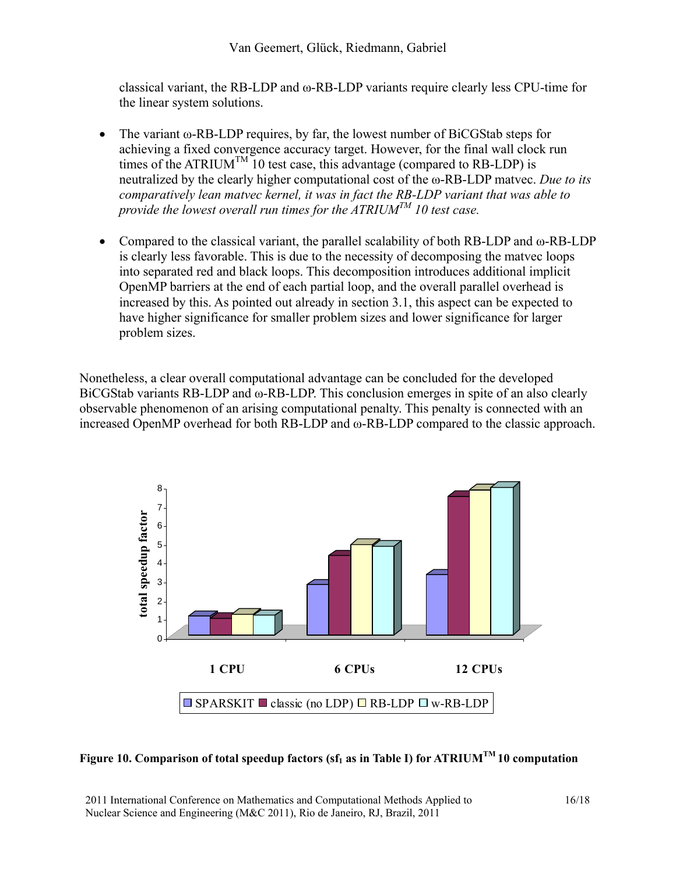classical variant, the RB-LDP and ω-RB-LDP variants require clearly less CPU-time for the linear system solutions.

- The variant ω-RB-LDP requires, by far, the lowest number of BiCGStab steps for achieving a fixed convergence accuracy target. However, for the final wall clock run times of the ATRIUM<sup>TM</sup> 10 test case, this advantage (compared to RB-LDP) is neutralized by the clearly higher computational cost of the ω-RB-LDP matvec. *Due to its comparatively lean matvec kernel, it was in fact the RB-LDP variant that was able to provide the lowest overall run times for the ATRIUMTM 10 test case.*
- Compared to the classical variant, the parallel scalability of both RB-LDP and ω-RB-LDP is clearly less favorable. This is due to the necessity of decomposing the matvec loops into separated red and black loops. This decomposition introduces additional implicit OpenMP barriers at the end of each partial loop, and the overall parallel overhead is increased by this. As pointed out already in section 3.1, this aspect can be expected to have higher significance for smaller problem sizes and lower significance for larger problem sizes.

Nonetheless, a clear overall computational advantage can be concluded for the developed BiCGStab variants RB-LDP and ω-RB-LDP. This conclusion emerges in spite of an also clearly observable phenomenon of an arising computational penalty. This penalty is connected with an increased OpenMP overhead for both RB-LDP and ω-RB-LDP compared to the classic approach.





2011 International Conference on Mathematics and Computational Methods Applied to 16/18 Nuclear Science and Engineering (M&C 2011), Rio de Janeiro, RJ, Brazil, 2011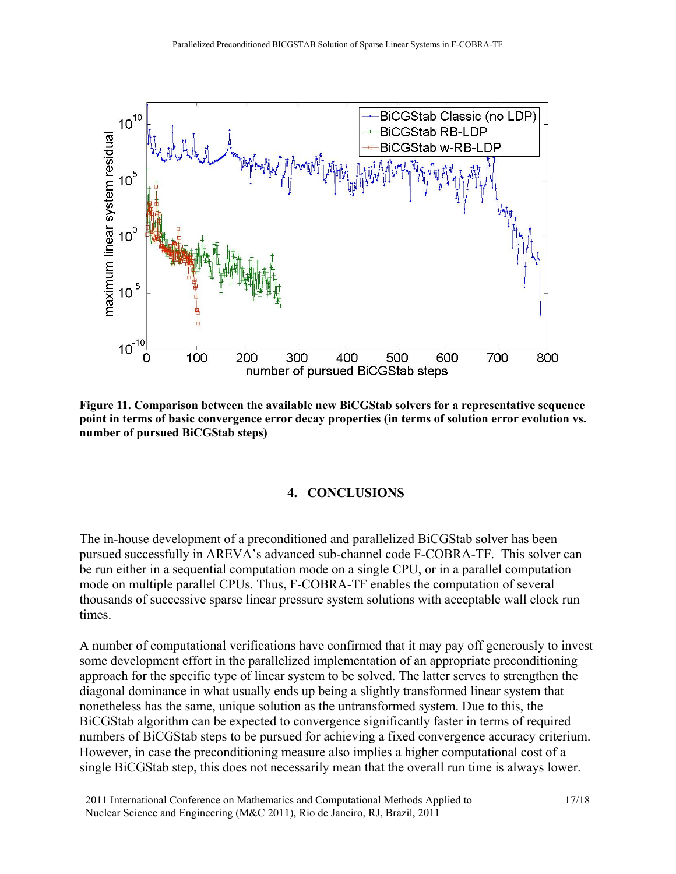

**Figure 11. Comparison between the available new BiCGStab solvers for a representative sequence point in terms of basic convergence error decay properties (in terms of solution error evolution vs. number of pursued BiCGStab steps)**

#### **4. CONCLUSIONS**

The in-house development of a preconditioned and parallelized BiCGStab solver has been pursued successfully in AREVA's advanced sub-channel code F-COBRA-TF. This solver can be run either in a sequential computation mode on a single CPU, or in a parallel computation mode on multiple parallel CPUs. Thus, F-COBRA-TF enables the computation of several thousands of successive sparse linear pressure system solutions with acceptable wall clock run times.

A number of computational verifications have confirmed that it may pay off generously to invest some development effort in the parallelized implementation of an appropriate preconditioning approach for the specific type of linear system to be solved. The latter serves to strengthen the diagonal dominance in what usually ends up being a slightly transformed linear system that nonetheless has the same, unique solution as the untransformed system. Due to this, the BiCGStab algorithm can be expected to convergence significantly faster in terms of required numbers of BiCGStab steps to be pursued for achieving a fixed convergence accuracy criterium. However, in case the preconditioning measure also implies a higher computational cost of a single BiCGStab step, this does not necessarily mean that the overall run time is always lower.